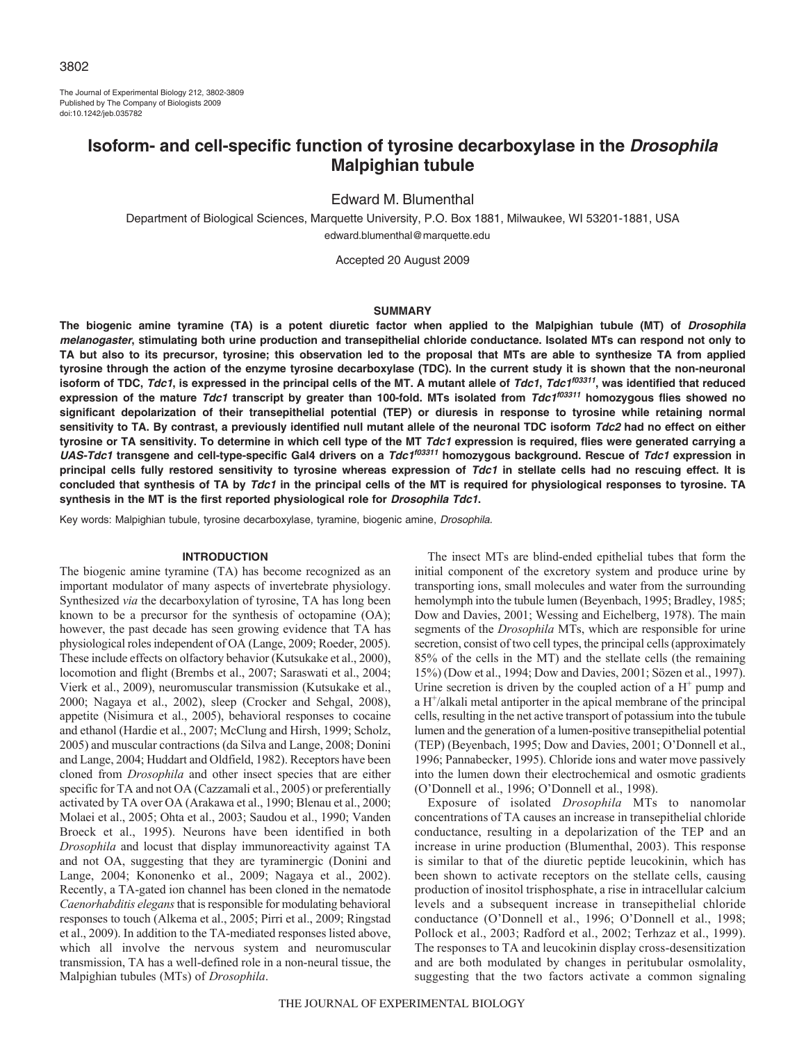The Journal of Experimental Biology 212, 3802-3809 Published by The Company of Biologists 2009 doi:10.1242/jeb.035782

# **Isoform- and cell-specific function of tyrosine decarboxylase in the Drosophila Malpighian tubule**

Edward M. Blumenthal

Department of Biological Sciences, Marquette University, P.O. Box 1881, Milwaukee, WI 53201-1881, USA edward.blumenthal@marquette.edu

Accepted 20 August 2009

#### **SUMMARY**

**The biogenic amine tyramine (TA) is a potent diuretic factor when applied to the Malpighian tubule (MT) of Drosophila melanogaster, stimulating both urine production and transepithelial chloride conductance. Isolated MTs can respond not only to TA but also to its precursor, tyrosine; this observation led to the proposal that MTs are able to synthesize TA from applied tyrosine through the action of the enzyme tyrosine decarboxylase (TDC). In the current study it is shown that the non-neuronal isoform of TDC, Tdc1, is expressed in the principal cells of the MT. A mutant allele of Tdc1, Tdc1f03311, was identified that reduced expression of the mature Tdc1 transcript by greater than 100-fold. MTs isolated from Tdc1f03311 homozygous flies showed no significant depolarization of their transepithelial potential (TEP) or diuresis in response to tyrosine while retaining normal sensitivity to TA. By contrast, a previously identified null mutant allele of the neuronal TDC isoform Tdc2 had no effect on either tyrosine or TA sensitivity. To determine in which cell type of the MT Tdc1 expression is required, flies were generated carrying a UAS-Tdc1 transgene and cell-type-specific Gal4 drivers on a Tdc1f03311 homozygous background. Rescue of Tdc1 expression in principal cells fully restored sensitivity to tyrosine whereas expression of Tdc1 in stellate cells had no rescuing effect. It is concluded that synthesis of TA by Tdc1 in the principal cells of the MT is required for physiological responses to tyrosine. TA synthesis in the MT is the first reported physiological role for Drosophila Tdc1.**

Key words: Malpighian tubule, tyrosine decarboxylase, tyramine, biogenic amine, Drosophila.

#### **INTRODUCTION**

The biogenic amine tyramine (TA) has become recognized as an important modulator of many aspects of invertebrate physiology. Synthesized *via* the decarboxylation of tyrosine, TA has long been known to be a precursor for the synthesis of octopamine (OA); however, the past decade has seen growing evidence that TA has physiological roles independent of OA (Lange, 2009; Roeder, 2005). These include effects on olfactory behavior (Kutsukake et al., 2000), locomotion and flight (Brembs et al., 2007; Saraswati et al., 2004; Vierk et al., 2009), neuromuscular transmission (Kutsukake et al., 2000; Nagaya et al., 2002), sleep (Crocker and Sehgal, 2008), appetite (Nisimura et al., 2005), behavioral responses to cocaine and ethanol (Hardie et al., 2007; McClung and Hirsh, 1999; Scholz, 2005) and muscular contractions (da Silva and Lange, 2008; Donini and Lange, 2004; Huddart and Oldfield, 1982). Receptors have been cloned from *Drosophila* and other insect species that are either specific for TA and not OA (Cazzamali et al., 2005) or preferentially activated by TA over OA (Arakawa et al., 1990; Blenau et al., 2000; Molaei et al., 2005; Ohta et al., 2003; Saudou et al., 1990; Vanden Broeck et al., 1995). Neurons have been identified in both *Drosophila* and locust that display immunoreactivity against TA and not OA, suggesting that they are tyraminergic (Donini and Lange, 2004; Kononenko et al., 2009; Nagaya et al., 2002). Recently, a TA-gated ion channel has been cloned in the nematode *Caenorhabditis elegans*that is responsible for modulating behavioral responses to touch (Alkema et al., 2005; Pirri et al., 2009; Ringstad et al., 2009). In addition to the TA-mediated responses listed above, which all involve the nervous system and neuromuscular transmission, TA has a well-defined role in a non-neural tissue, the Malpighian tubules (MTs) of *Drosophila*.

The insect MTs are blind-ended epithelial tubes that form the initial component of the excretory system and produce urine by transporting ions, small molecules and water from the surrounding hemolymph into the tubule lumen (Beyenbach, 1995; Bradley, 1985; Dow and Davies, 2001; Wessing and Eichelberg, 1978). The main segments of the *Drosophila* MTs, which are responsible for urine secretion, consist of two cell types, the principal cells (approximately 85% of the cells in the MT) and the stellate cells (the remaining 15%) (Dow et al., 1994; Dow and Davies, 2001; Sözen et al., 1997). Urine secretion is driven by the coupled action of a  $H^+$  pump and a  $H^{\dagger}/a$ lkali metal antiporter in the apical membrane of the principal cells, resulting in the net active transport of potassium into the tubule lumen and the generation of a lumen-positive transepithelial potential (TEP) (Beyenbach, 1995; Dow and Davies, 2001; O'Donnell et al., 1996; Pannabecker, 1995). Chloride ions and water move passively into the lumen down their electrochemical and osmotic gradients (O'Donnell et al., 1996; O'Donnell et al., 1998).

Exposure of isolated *Drosophila* MTs to nanomolar concentrations of TA causes an increase in transepithelial chloride conductance, resulting in a depolarization of the TEP and an increase in urine production (Blumenthal, 2003). This response is similar to that of the diuretic peptide leucokinin, which has been shown to activate receptors on the stellate cells, causing production of inositol trisphosphate, a rise in intracellular calcium levels and a subsequent increase in transepithelial chloride conductance (O'Donnell et al., 1996; O'Donnell et al., 1998; Pollock et al., 2003; Radford et al., 2002; Terhzaz et al., 1999). The responses to TA and leucokinin display cross-desensitization and are both modulated by changes in peritubular osmolality, suggesting that the two factors activate a common signaling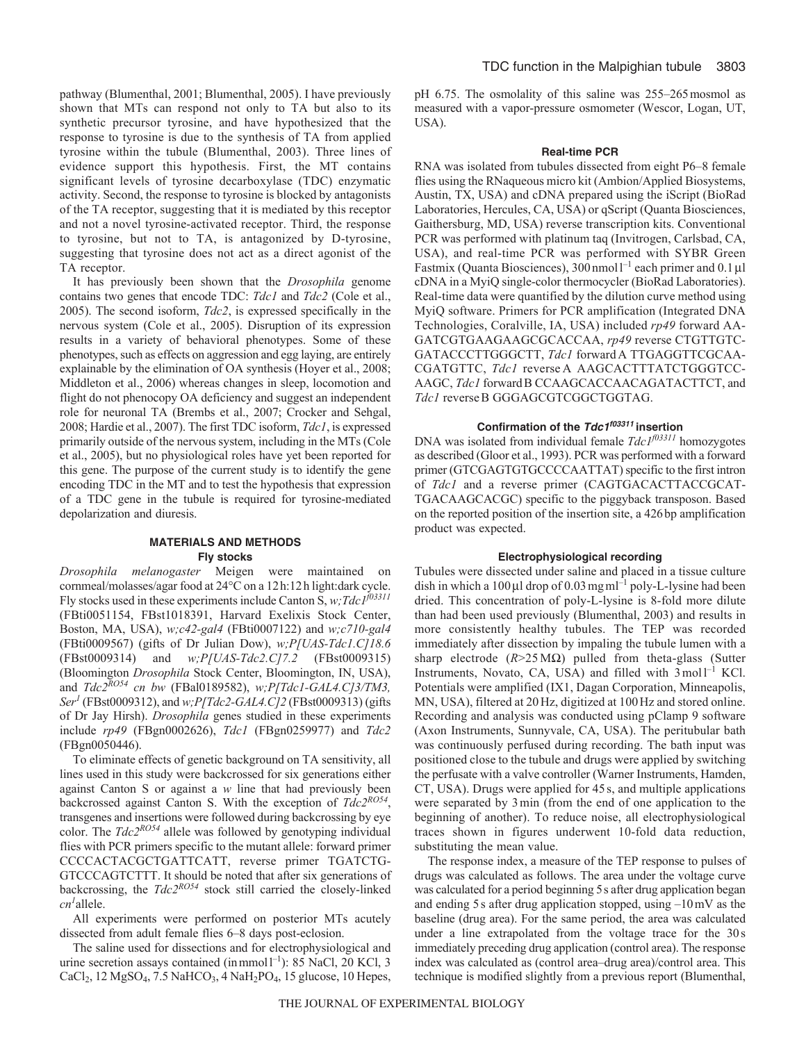pathway (Blumenthal, 2001; Blumenthal, 2005). I have previously shown that MTs can respond not only to TA but also to its synthetic precursor tyrosine, and have hypothesized that the response to tyrosine is due to the synthesis of TA from applied tyrosine within the tubule (Blumenthal, 2003). Three lines of evidence support this hypothesis. First, the MT contains significant levels of tyrosine decarboxylase (TDC) enzymatic activity. Second, the response to tyrosine is blocked by antagonists of the TA receptor, suggesting that it is mediated by this receptor and not a novel tyrosine-activated receptor. Third, the response to tyrosine, but not to TA, is antagonized by D-tyrosine, suggesting that tyrosine does not act as a direct agonist of the TA receptor.

It has previously been shown that the *Drosophila* genome contains two genes that encode TDC: *Tdc1* and *Tdc2* (Cole et al., 2005). The second isoform, *Tdc2*, is expressed specifically in the nervous system (Cole et al., 2005). Disruption of its expression results in a variety of behavioral phenotypes. Some of these phenotypes, such as effects on aggression and egg laying, are entirely explainable by the elimination of OA synthesis (Hoyer et al., 2008; Middleton et al., 2006) whereas changes in sleep, locomotion and flight do not phenocopy OA deficiency and suggest an independent role for neuronal TA (Brembs et al., 2007; Crocker and Sehgal, 2008; Hardie et al., 2007). The first TDC isoform, *Tdc1*, is expressed primarily outside of the nervous system, including in the MTs (Cole et al., 2005), but no physiological roles have yet been reported for this gene. The purpose of the current study is to identify the gene encoding TDC in the MT and to test the hypothesis that expression of a TDC gene in the tubule is required for tyrosine-mediated depolarization and diuresis.

### **MATERIALS AND METHODS Fly stocks**

*Drosophila melanogaster* Meigen were maintained on cornmeal/molasses/agar food at 24°C on a 12h:12h light:dark cycle. Fly stocks used in these experiments include Canton S,  $w$ ; Tdc1<sup> $j$ 03311</sup> (FBti0051154, FBst1018391, Harvard Exelixis Stock Center, Boston, MA, USA), *w;c42-gal4* (FBti0007122) and *w;c710-gal4* (FBti0009567) (gifts of Dr Julian Dow), *w;P[UAS-Tdc1.C]18.6* (FBst0009314) and *w;P[UAS-Tdc2.C]7.2* (FBst0009315) (Bloomington *Drosophila* Stock Center, Bloomington, IN, USA), and *Tdc2RO54 cn bw* (FBal0189582), *w;P[Tdc1-GAL4.C]3/TM3, Ser1* (FBst0009312), and *w;P[Tdc2-GAL4.C]2* (FBst0009313) (gifts of Dr Jay Hirsh). *Drosophila* genes studied in these experiments include *rp49* (FBgn0002626), *Tdc1* (FBgn0259977) and *Tdc2* (FBgn0050446).

To eliminate effects of genetic background on TA sensitivity, all lines used in this study were backcrossed for six generations either against Canton S or against a *w* line that had previously been backcrossed against Canton S. With the exception of *Tdc2RO54*, transgenes and insertions were followed during backcrossing by eye color. The *Tdc2RO54* allele was followed by genotyping individual flies with PCR primers specific to the mutant allele: forward primer CCCCACTACGCTGATTCATT, reverse primer TGATCTG-GTCCCAGTCTTT. It should be noted that after six generations of backcrossing, the *Tdc2RO54* stock still carried the closely-linked *cn1* allele.

All experiments were performed on posterior MTs acutely dissected from adult female flies 6–8 days post-eclosion.

The saline used for dissections and for electrophysiological and urine secretion assays contained (in mmol<sup>1-1</sup>): 85 NaCl, 20 KCl, 3  $CaCl<sub>2</sub>$ , 12 MgSO<sub>4</sub>, 7.5 NaHCO<sub>3</sub>, 4 NaH<sub>2</sub>PO<sub>4</sub>, 15 glucose, 10 Hepes, pH 6.75. The osmolality of this saline was 255–265mosmol as measured with a vapor-pressure osmometer (Wescor, Logan, UT, USA).

### **Real-time PCR**

RNA was isolated from tubules dissected from eight P6–8 female flies using the RNaqueous micro kit (Ambion/Applied Biosystems, Austin, TX, USA) and cDNA prepared using the iScript (BioRad Laboratories, Hercules, CA, USA) or qScript (Quanta Biosciences, Gaithersburg, MD, USA) reverse transcription kits. Conventional PCR was performed with platinum taq (Invitrogen, Carlsbad, CA, USA), and real-time PCR was performed with SYBR Green Fastmix (Quanta Biosciences),  $300$  nmol  $1^{-1}$  each primer and  $0.1 \mu$ l cDNA in a MyiQ single-color thermocycler (BioRad Laboratories). Real-time data were quantified by the dilution curve method using MyiQ software. Primers for PCR amplification (Integrated DNA Technologies, Coralville, IA, USA) included *rp49* forward AA-GATCGTGAAGAAGCGCACCAA, *rp49* reverse CTGTTGTC-GATACCCTTGGGCTT, *Tdc1* forward A TTGAGGTTCGCAA - CGATGTTC, Tdc1 reverse A AAGCACTTTATCTGGGTCC-AAGC, *Tdc1* forwardB CCAAGCACCAACAGATACTTCT, and *Tdc1* reverse B GGGAGCGTCGGCTGGTAG.

## **Confirmation of the Tdc1f03311 insertion**

DNA was isolated from individual female *Tdc1<sup>f03311</sup>* homozygotes as described (Gloor et al., 1993). PCR was performed with a forward primer (GTCGAGTGTGCCCCAATTAT) specific to the first intron of *Tdc1* and a reverse primer (CAGTGACACTTACCGCAT-TGACAAGCACGC) specific to the piggyback transposon. Based on the reported position of the insertion site, a 426bp amplification product was expected.

### **Electrophysiological recording**

Tubules were dissected under saline and placed in a tissue culture dish in which a 100 µl drop of 0.03 mg ml<sup>-1</sup> poly-L-lysine had been dried. This concentration of poly-L-lysine is 8-fold more dilute than had been used previously (Blumenthal, 2003) and results in more consistently healthy tubules. The TEP was recorded immediately after dissection by impaling the tubule lumen with a sharp electrode  $(R>25 \text{ M}\Omega)$  pulled from theta-glass (Sutter Instruments, Novato, CA, USA) and filled with  $3 \text{ mol}^{-1}$  KCl. Potentials were amplified (IX1, Dagan Corporation, Minneapolis, MN, USA), filtered at 20Hz, digitized at 100Hz and stored online. Recording and analysis was conducted using pClamp 9 software (Axon Instruments, Sunnyvale, CA, USA). The peritubular bath was continuously perfused during recording. The bath input was positioned close to the tubule and drugs were applied by switching the perfusate with a valve controller (Warner Instruments, Hamden, CT, USA). Drugs were applied for 45 s, and multiple applications were separated by 3min (from the end of one application to the beginning of another). To reduce noise, all electrophysiological traces shown in figures underwent 10-fold data reduction, substituting the mean value.

The response index, a measure of the TEP response to pulses of drugs was calculated as follows. The area under the voltage curve was calculated for a period beginning 5s after drug application began and ending 5s after drug application stopped, using –10mV as the baseline (drug area). For the same period, the area was calculated under a line extrapolated from the voltage trace for the 30s immediately preceding drug application (control area). The response index was calculated as (control area–drug area)/control area. This technique is modified slightly from a previous report (Blumenthal,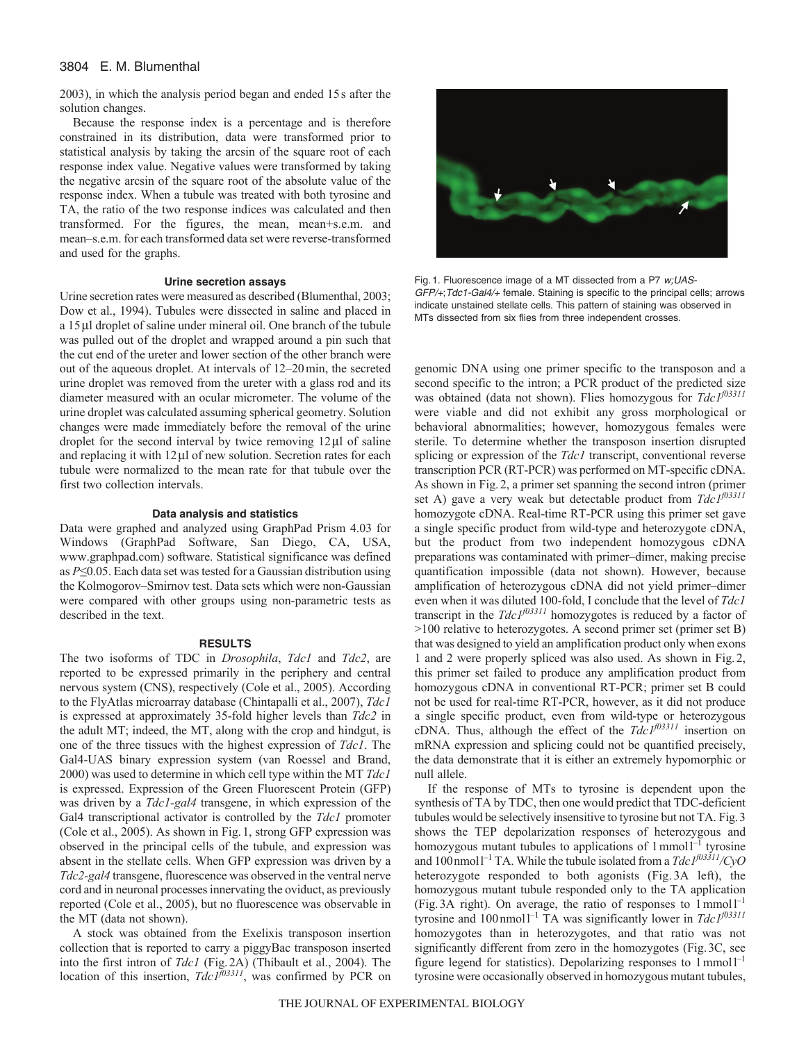### 3804 E. M. Blumenthal

2003), in which the analysis period began and ended 15s after the solution changes.

Because the response index is a percentage and is therefore constrained in its distribution, data were transformed prior to statistical analysis by taking the arcsin of the square root of each response index value. Negative values were transformed by taking the negative arcsin of the square root of the absolute value of the response index. When a tubule was treated with both tyrosine and TA, the ratio of the two response indices was calculated and then transformed. For the figures, the mean, mean+s.e.m. and mean–s.e.m. for each transformed data set were reverse-transformed and used for the graphs.

### **Urine secretion assays**

Urine secretion rates were measured as described (Blumenthal, 2003; Dow et al., 1994). Tubules were dissected in saline and placed in a 15 µl droplet of saline under mineral oil. One branch of the tubule was pulled out of the droplet and wrapped around a pin such that the cut end of the ureter and lower section of the other branch were out of the aqueous droplet. At intervals of 12–20min, the secreted urine droplet was removed from the ureter with a glass rod and its diameter measured with an ocular micrometer. The volume of the urine droplet was calculated assuming spherical geometry. Solution changes were made immediately before the removal of the urine droplet for the second interval by twice removing  $12 \mu$  of saline and replacing it with  $12 \mu l$  of new solution. Secretion rates for each tubule were normalized to the mean rate for that tubule over the first two collection intervals.

#### **Data analysis and statistics**

Data were graphed and analyzed using GraphPad Prism 4.03 for Windows (GraphPad Software, San Diego, CA, USA, www.graphpad.com) software. Statistical significance was defined as *P*≤0.05. Each data set was tested for a Gaussian distribution using the Kolmogorov–Smirnov test. Data sets which were non-Gaussian were compared with other groups using non-parametric tests as described in the text.

#### **RESULTS**

The two isoforms of TDC in *Drosophila*, *Tdc1* and *Tdc2*, are reported to be expressed primarily in the periphery and central nervous system (CNS), respectively (Cole et al., 2005). According to the FlyAtlas microarray database (Chintapalli et al., 2007), *Tdc1* is expressed at approximately 35-fold higher levels than *Tdc2* in the adult MT; indeed, the MT, along with the crop and hindgut, is one of the three tissues with the highest expression of *Tdc1*. The Gal4-UAS binary expression system (van Roessel and Brand, 2000) was used to determine in which cell type within the MT *Tdc1* is expressed. Expression of the Green Fluorescent Protein (GFP) was driven by a *Tdc1-gal4* transgene, in which expression of the Gal4 transcriptional activator is controlled by the *Tdc1* promoter (Cole et al., 2005). As shown in Fig.1, strong GFP expression was observed in the principal cells of the tubule, and expression was absent in the stellate cells. When GFP expression was driven by a *Tdc2-gal4* transgene, fluorescence was observed in the ventral nerve cord and in neuronal processes innervating the oviduct, as previously reported (Cole et al., 2005), but no fluorescence was observable in the MT (data not shown).

A stock was obtained from the Exelixis transposon insertion collection that is reported to carry a piggyBac transposon inserted into the first intron of *Tdc1* (Fig.2A) (Thibault et al., 2004). The location of this insertion,  $TdcI^{f03311}$ , was confirmed by PCR on



Fig. 1. Fluorescence image of a MT dissected from a P7 w;UAS-GFP/+;Tdc1-Gal4/+ female. Staining is specific to the principal cells; arrows indicate unstained stellate cells. This pattern of staining was observed in MTs dissected from six flies from three independent crosses.

genomic DNA using one primer specific to the transposon and a second specific to the intron; a PCR product of the predicted size was obtained (data not shown). Flies homozygous for  $Tdc1^{f03311}$ were viable and did not exhibit any gross morphological or behavioral abnormalities; however, homozygous females were sterile. To determine whether the transposon insertion disrupted splicing or expression of the *Tdc1* transcript, conventional reverse transcription PCR (RT-PCR) was performed on MT-specific cDNA. As shown in Fig.2, a primer set spanning the second intron (primer set A) gave a very weak but detectable product from  $Td\tilde{c}I^{03311}$ homozygote cDNA. Real-time RT-PCR using this primer set gave a single specific product from wild-type and heterozygote cDNA, but the product from two independent homozygous cDNA preparations was contaminated with primer–dimer, making precise quantification impossible (data not shown). However, because amplification of heterozygous cDNA did not yield primer–dimer even when it was diluted 100-fold, I conclude that the level of *Tdc1* transcript in the  $TdcI^{f03311}$  homozygotes is reduced by a factor of >100 relative to heterozygotes. A second primer set (primer set B) that was designed to yield an amplification product only when exons 1 and 2 were properly spliced was also used. As shown in Fig.2, this primer set failed to produce any amplification product from homozygous cDNA in conventional RT-PCR; primer set B could not be used for real-time RT-PCR, however, as it did not produce a single specific product, even from wild-type or heterozygous cDNA. Thus, although the effect of the *Tdc1f03311* insertion on mRNA expression and splicing could not be quantified precisely, the data demonstrate that it is either an extremely hypomorphic or null allele.

If the response of MTs to tyrosine is dependent upon the synthesis of TA by TDC, then one would predict that TDC-deficient tubules would be selectively insensitive to tyrosine but not TA. Fig.3 shows the TEP depolarization responses of heterozygous and homozygous mutant tubules to applications of  $1$  mmol $1^{-1}$  tyrosine and 100nmoll –1 TA. While the tubule isolated from a *Tdc1f03311/CyO* heterozygote responded to both agonists (Fig. 3A left), the homozygous mutant tubule responded only to the TA application (Fig. 3A right). On average, the ratio of responses to  $1$ mmol $1^{-1}$ tyrosine and  $100 \text{ nmol}$ <sup>1-1</sup> TA was significantly lower in *Tdc*  $1^{f(03311)}$ homozygotes than in heterozygotes, and that ratio was not significantly different from zero in the homozygotes (Fig.3C, see figure legend for statistics). Depolarizing responses to  $1$  mmol $1^{-1}$ tyrosine were occasionally observed in homozygous mutant tubules,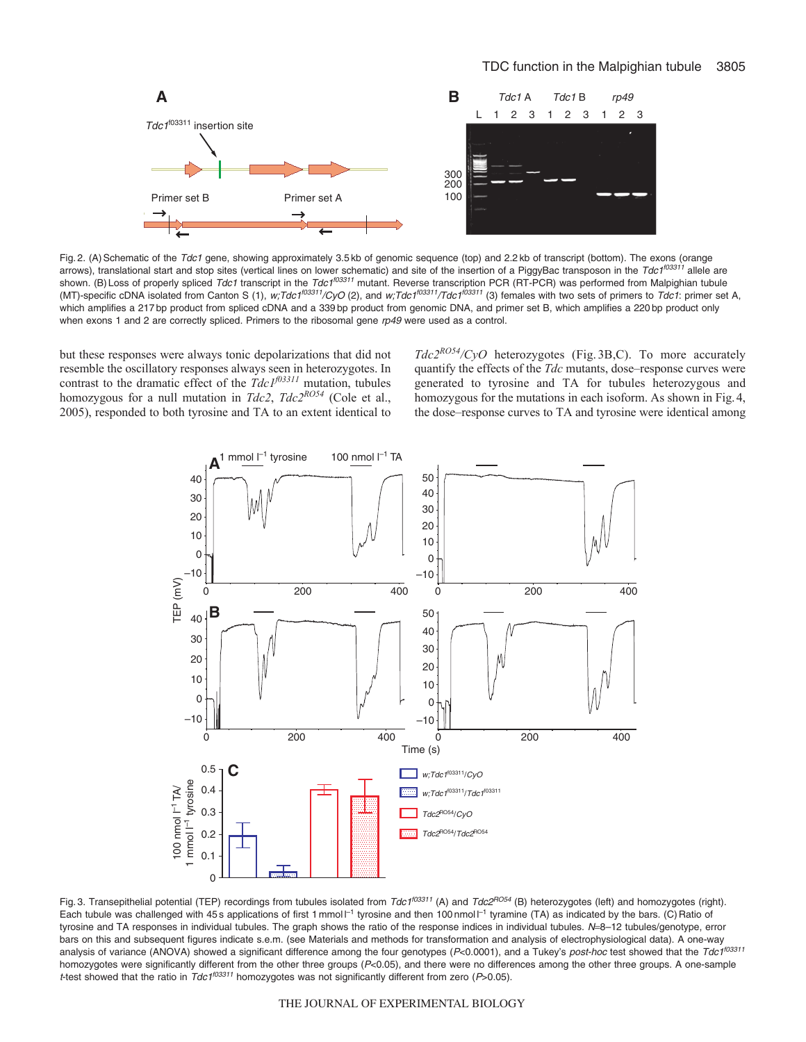

Fig. 2. (A) Schematic of the Tdc1 gene, showing approximately 3.5 kb of genomic sequence (top) and 2.2 kb of transcript (bottom). The exons (orange arrows), translational start and stop sites (vertical lines on lower schematic) and site of the insertion of a PiggyBac transposon in the Tdc1<sup>f03311</sup> allele are shown. (B) Loss of properly spliced Tdc1 transcript in the Tdc1<sup>f03311</sup> mutant. Reverse transcription PCR (RT-PCR) was performed from Malpighian tubule (MT)-specific cDNA isolated from Canton S (1), w;Tdc1<sup>f03311</sup>/CyO (2), and w;Tdc1<sup>f03311</sup>/Tdc1<sup>f03311</sup> (3) females with two sets of primers to Tdc1: primer set A, which amplifies a 217 bp product from spliced cDNA and a 339 bp product from genomic DNA, and primer set B, which amplifies a 220 bp product only when exons 1 and 2 are correctly spliced. Primers to the ribosomal gene  $rp49$  were used as a control.

but these responses were always tonic depolarizations that did not resemble the oscillatory responses always seen in heterozygotes. In contrast to the dramatic effect of the *Tdc1f03311* mutation, tubules homozygous for a null mutation in *Tdc2*,  $Tdc2^{RO54}$  (Cole et al., 2005), responded to both tyrosine and TA to an extent identical to *Tdc2RO54/CyO* heterozygotes (Fig. 3B,C). To more accurately quantify the effects of the *Tdc* mutants, dose–response curves were generated to tyrosine and TA for tubules heterozygous and homozygous for the mutations in each isoform. As shown in Fig. 4, the dose–response curves to TA and tyrosine were identical among



Fig. 3. Transepithelial potential (TEP) recordings from tubules isolated from  $Tdc1^{[03311]}$  (A) and  $Tdc2^{F054}$  (B) heterozygotes (left) and homozygotes (right). Each tubule was challenged with 45 s applications of first 1 mmol  $I^{-1}$  tyrosine and then 100 nmol  $I^{-1}$  tyramine (TA) as indicated by the bars. (C) Ratio of tyrosine and TA responses in individual tubules. The graph shows the ratio of the response indices in individual tubules. N=8-12 tubules/genotype, error bars on this and subsequent figures indicate s.e.m. (see Materials and methods for transformation and analysis of electrophysiological data). A one-way analysis of variance (ANOVA) showed a significant difference among the four genotypes (P<0.0001), and a Tukey's post-hoc test showed that the Tdc1<sup>f03311</sup> homozygotes were significantly different from the other three groups (P<0.05), and there were no differences among the other three groups. A one-sample t-test showed that the ratio in  $Tdc1^{103311}$  homozygotes was not significantly different from zero (P>0.05).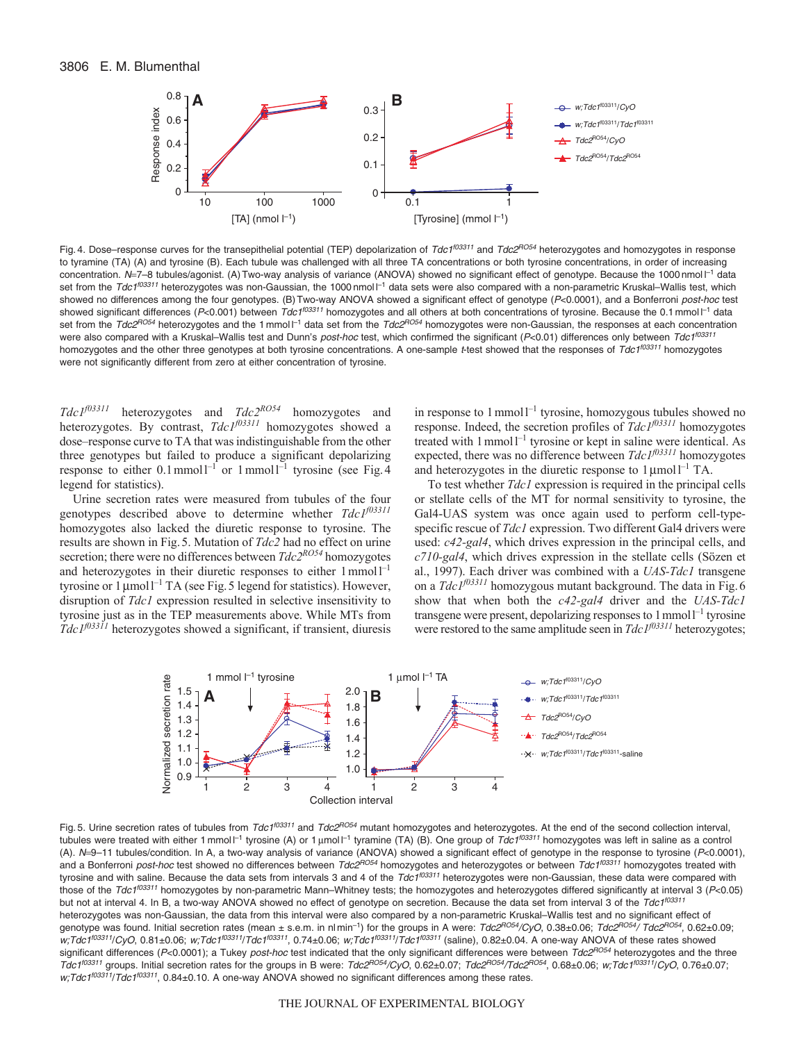

Fig. 4. Dose–response curves for the transepithelial potential (TEP) depolarization of Tdc1<sup>f03311</sup> and Tdc2<sup>RO54</sup> heterozygotes and homozygotes in response to tyramine (TA) (A) and tyrosine (B). Each tubule was challenged with all three TA concentrations or both tyrosine concentrations, in order of increasing concentration. N=7-8 tubules/agonist. (A) Two-way analysis of variance (ANOVA) showed no significant effect of genotype. Because the 1000 nmol  $\Gamma^1$  data set from the Tdc1<sup>f03311</sup> heterozygotes was non-Gaussian, the 1000 nmol l<sup>-1</sup> data sets were also compared with a non-parametric Kruskal–Wallis test, which showed no differences among the four genotypes. (B) Two-way ANOVA showed a significant effect of genotype (P<0.0001), and a Bonferroni post-hoc test showed significant differences (P<0.001) between Tdc1<sup>f03311</sup> homozygotes and all others at both concentrations of tyrosine. Because the 0.1 mmol l<sup>-1</sup> data set from the Tdc2<sup>RO54</sup> heterozygotes and the 1 mmol <sup>[-1</sup> data set from the Tdc2<sup>RO54</sup> homozygotes were non-Gaussian, the responses at each concentration were also compared with a Kruskal–Wallis test and Dunn's post-hoc test, which confirmed the significant (P<0.01) differences only between Tdc1<sup>f03311</sup> homozygotes and the other three genotypes at both tyrosine concentrations. A one-sample t-test showed that the responses of Tdc1<sup>f03311</sup> homozygotes were not significantly different from zero at either concentration of tyrosine.

*Tdc1f03311* heterozygotes and *Tdc2RO54* homozygotes and heterozygotes. By contrast, *Tdc1f03311* homozygotes showed a dose–response curve to TA that was indistinguishable from the other three genotypes but failed to produce a significant depolarizing response to either  $0.1$  mmoll<sup>-1</sup> or 1 mmoll<sup>-1</sup> tyrosine (see Fig. 4 legend for statistics).

Urine secretion rates were measured from tubules of the four genotypes described above to determine whether *Tdc1f03311* homozygotes also lacked the diuretic response to tyrosine. The results are shown in Fig.5. Mutation of *Tdc2* had no effect on urine secretion; there were no differences between *Tdc2RO54* homozygotes and heterozygotes in their diuretic responses to either  $1$  mmol $1^{-1}$ tyrosine or  $1 \mu$ mol<sup>1-1</sup> TA (see Fig. 5 legend for statistics). However, disruption of *Tdc1* expression resulted in selective insensitivity to tyrosine just as in the TEP measurements above. While MTs from *Tdc1f03311* heterozygotes showed a significant, if transient, diuresis

in response to  $1$  mmol $1^{-1}$  tyrosine, homozygous tubules showed no response. Indeed, the secretion profiles of *Tdc1f03311* homozygotes treated with  $1$  mmol $1^{-1}$  tyrosine or kept in saline were identical. As expected, there was no difference between *Tdc1f03311* homozygotes and heterozygotes in the diuretic response to  $1 \mu$ mol $1^{-1}$  TA.

To test whether *Tdc1* expression is required in the principal cells or stellate cells of the MT for normal sensitivity to tyrosine, the Gal4-UAS system was once again used to perform cell-typespecific rescue of *Tdc1* expression. Two different Gal4 drivers were used: *c42-gal4*, which drives expression in the principal cells, and *c710-gal4*, which drives expression in the stellate cells (Sözen et al., 1997). Each driver was combined with a *UAS-Tdc1* transgene on a *Tdc*<sup> $1$ *f*03311</sup> homozygous mutant background. The data in Fig. 6 show that when both the *c42-gal4* driver and the *UAS-Tdc1* transgene were present, depolarizing responses to  $1$  mmol $1^{-1}$  tyrosine were restored to the same amplitude seen in *Tdc*  $I^{f03311}$  heterozygotes;



Fig. 5. Urine secretion rates of tubules from Tdc1<sup>f03311</sup> and Tdc2<sup>RO54</sup> mutant homozygotes and heterozygotes. At the end of the second collection interval, tubules were treated with either 1 mmol l<sup>-1</sup> tyrosine (A) or 1 µmol l<sup>-1</sup> tyramine (TA) (B). One group of *Tdc1<sup>f03311</sup>* homozygotes was left in saline as a control (A). N=9-11 tubules/condition. In A, a two-way analysis of variance (ANOVA) showed a significant effect of genotype in the response to tyrosine (P<0.0001), and a Bonferroni post-hoc test showed no differences between Tdc2<sup>RO54</sup> homozygotes and heterozygotes or between Tdc1<sup>f03311</sup> homozygotes treated with tyrosine and with saline. Because the data sets from intervals 3 and 4 of the  $Td\zeta_1^{103311}$  heterozygotes were non-Gaussian, these data were compared with those of the Tdc1<sup>f03311</sup> homozygotes by non-parametric Mann–Whitney tests; the homozygotes and heterozygotes differed significantly at interval 3 (P<0.05) but not at interval 4. In B, a two-way ANOVA showed no effect of genotype on secretion. Because the data set from interval 3 of the Tdc1<sup>f03311</sup> heterozygotes was non-Gaussian, the data from this interval were also compared by a non-parametric Kruskal–Wallis test and no significant effect of genotype was found. Initial secretion rates (mean ± s.e.m. in nl min<sup>-1</sup>) for the groups in A were: Tdc2RO54/CyO, 0.38±0.06; Tdc2RO54/ Tdc2RO54, 0.62±0.09; w;Tdc1<sup>f03311</sup>/CyO, 0.81±0.06; w;Tdc1<sup>f03311</sup>/Tdc1<sup>f03311</sup>, 0.74±0.06; w;Tdc1<sup>f03311</sup>/Tdc1<sup>f03311</sup> (saline), 0.82±0.04. A one-way ANOVA of these rates showed significant differences (P<0.0001); a Tukey post-hoc test indicated that the only significant differences were between Tdc2RO54 heterozygotes and the three Tdc1<sup>f03311</sup> groups. Initial secretion rates for the groups in B were: Tdc2<sup>RO54</sup>/CyO, 0.62±0.07; Tdc2<sup>RO54</sup>/Tdc2<sup>RO54</sup>, 0.68±0.06; w;Tdc1<sup>f03311</sup>/CyO, 0.76±0.07; Tdc2<sup>RO54</sup>/Tdc2<sup>RO54</sup>, 0.68±0.06; w;Tdc1<sup>f03311</sup>/CyO, 0.76± w;Tdc1<sup>f03311</sup>/Tdc1<sup>f03311</sup>, 0.84±0.10. A one-way ANOVA showed no significant differences among these rates.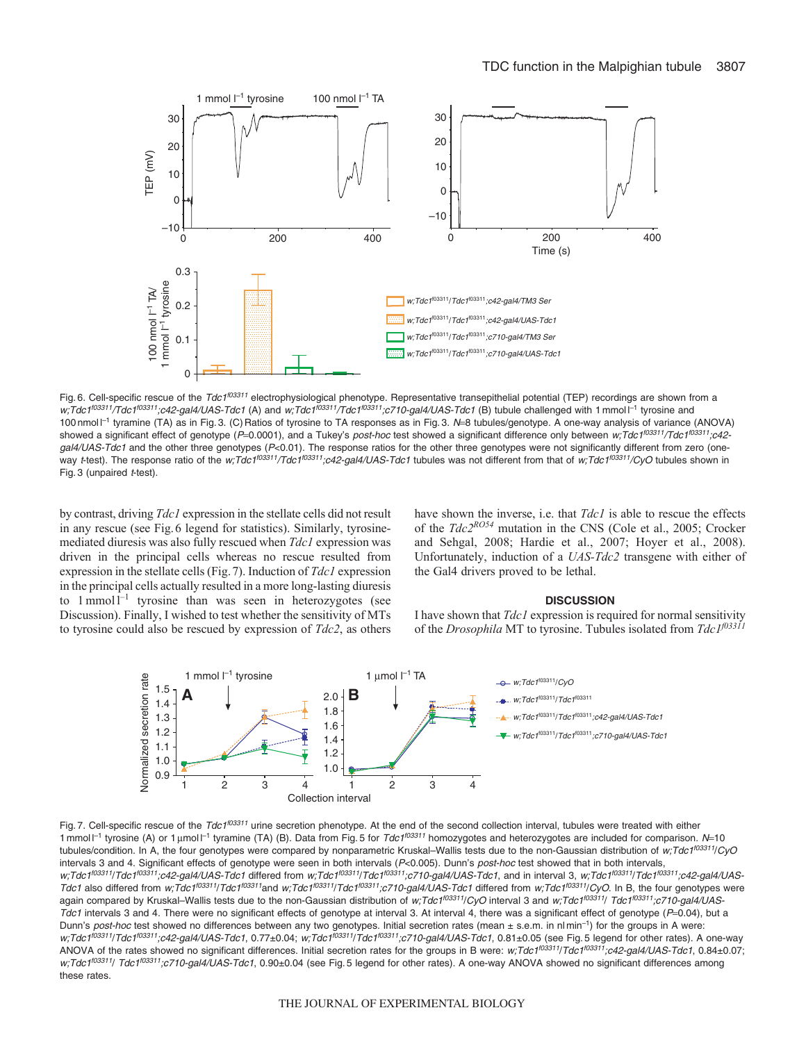

Fig. 6. Cell-specific rescue of the Tdc1<sup>f03311</sup> electrophysiological phenotype. Representative transepithelial potential (TEP) recordings are shown from a w;Tdc1<sup>f03311</sup>/Tdc1<sup>f03311</sup>;c42-gal4/UAS-Tdc1 (A) and w;Tdc1<sup>f03311</sup>/Tdc1<sup>f03311</sup>;c710-gal4/UAS-Tdc1 (B) tubule challenged with 1 mmol l<sup>-1</sup> tyrosine and 100 nmol  $l^{-1}$  tyramine (TA) as in Fig. 3. (C) Ratios of tyrosine to TA responses as in Fig. 3. N=8 tubules/genotype. A one-way analysis of variance (ANOVA) showed a significant effect of genotype (P=0.0001), and a Tukey's post-hoc test showed a significant difference only between w;Tdc1<sup>f03311</sup>/Tdc1<sup>f03311</sup>;c42 $galA/UAS-Tdc1$  and the other three genotypes ( $P<0.01$ ). The response ratios for the other three genotypes were not significantly different from zero (oneway t-test). The response ratio of the w;Tdc1<sup>f03311</sup>/Tdc1<sup>f03311</sup>;c42-gal4/UAS-Tdc1 tubules was not different from that of w;Tdc1<sup>f03311</sup>/CyO tubules shown in Fig. 3 (unpaired  $t$ -test).

by contrast, driving *Tdc1* expression in the stellate cells did not result in any rescue (see Fig.6 legend for statistics). Similarly, tyrosinemediated diuresis was also fully rescued when *Tdc1* expression was driven in the principal cells whereas no rescue resulted from expression in the stellate cells (Fig.7). Induction of *Tdc1* expression in the principal cells actually resulted in a more long-lasting diuresis to  $1$  mmol<sup>1-1</sup> tyrosine than was seen in heterozygotes (see Discussion). Finally, I wished to test whether the sensitivity of MTs to tyrosine could also be rescued by expression of *Tdc2*, as others have shown the inverse, i.e. that *Tdc1* is able to rescue the effects of the *Tdc2RO54* mutation in the CNS (Cole et al., 2005; Crocker and Sehgal, 2008; Hardie et al., 2007; Hoyer et al., 2008). Unfortunately, induction of a *UAS-Tdc2* transgene with either of the Gal4 drivers proved to be lethal.

#### **DISCUSSION**

I have shown that *Tdc1* expression is required for normal sensitivity of the *Drosophila* MT to tyrosine. Tubules isolated from *Tdc1f03311*



Fig. 7. Cell-specific rescue of the Tdc1<sup>f03311</sup> urine secretion phenotype. At the end of the second collection interval, tubules were treated with either 1 mmol  $I^{-1}$  tyrosine (A) or 1 µmol  $I^{-1}$  tyramine (TA) (B). Data from Fig. 5 for Tdc1<sup>f03311</sup> homozygotes and heterozygotes are included for comparison. N=10 tubules/condition. In A, the four genotypes were compared by nonparametric Kruskal–Wallis tests due to the non-Gaussian distribution of w;Tdc1<sup>f03311</sup>/CyO intervals 3 and 4. Significant effects of genotype were seen in both intervals (P<0.005). Dunn's post-hoc test showed that in both intervals, w;Tdc1<sup>f03311</sup>/Tdc1<sup>f03311</sup>;c42-gal4/UAS-Tdc1 differed from w;Tdc1<sup>f03311</sup>/Tdc1<sup>f03311</sup>;c710-gal4/UAS-Tdc1, and in interval 3, w;Tdc1<sup>f03311</sup>/Tdc1<sup>f03311</sup>;c42-gal4/UAS-Tdc1 also differed from w;Tdc1<sup>f03311</sup>/Tdc1<sup>f03311</sup>and w;Tdc1<sup>f03311</sup>/Tdc1<sup>f03311</sup>;c710-gal4/UAS-Tdc1 differed from w;Tdc1<sup>f03311</sup>/CyO. In B, the four genotypes were again compared by Kruskal–Wallis tests due to the non-Gaussian distribution of w;Tdc1<sup>f03311</sup>/CyO interval 3 and w;Tdc1<sup>f03311</sup>/ Tdc1<sup>f03311</sup>;c710-gal4/UAS-Tdc1 intervals 3 and 4. There were no significant effects of genotype at interval 3. At interval 4, there was a significant effect of genotype ( $P=0.04$ ), but a Dunn's post-hoc test showed no differences between any two genotypes. Initial secretion rates (mean ± s.e.m. in nl min<sup>-1</sup>) for the groups in A were: w;Tdc1<sup>f03311</sup>/Tdc1<sup>f03311</sup>;c42-gal4/UAS-Tdc1, 0.77±0.04; w;Tdc1<sup>f03311</sup>/Tdc1<sup>f03311</sup>;c710-gal4/UAS-Tdc1, 0.81±0.05 (see Fig. 5 legend for other rates). A one-way ANOVA of the rates showed no significant differences. Initial secretion rates for the groups in B were: w;Tdc1<sup>f03311</sup>/Tdc1<sup>f03311</sup>/c42-gal4/UAS-Tdc1, 0.84±0.07; w;Tdc1<sup>f03311</sup>/ Tdc1<sup>f03311</sup>;c710-gal4/UAS-Tdc1, 0.90±0.04 (see Fig. 5 legend for other rates). A one-way ANOVA showed no significant differences among these rates.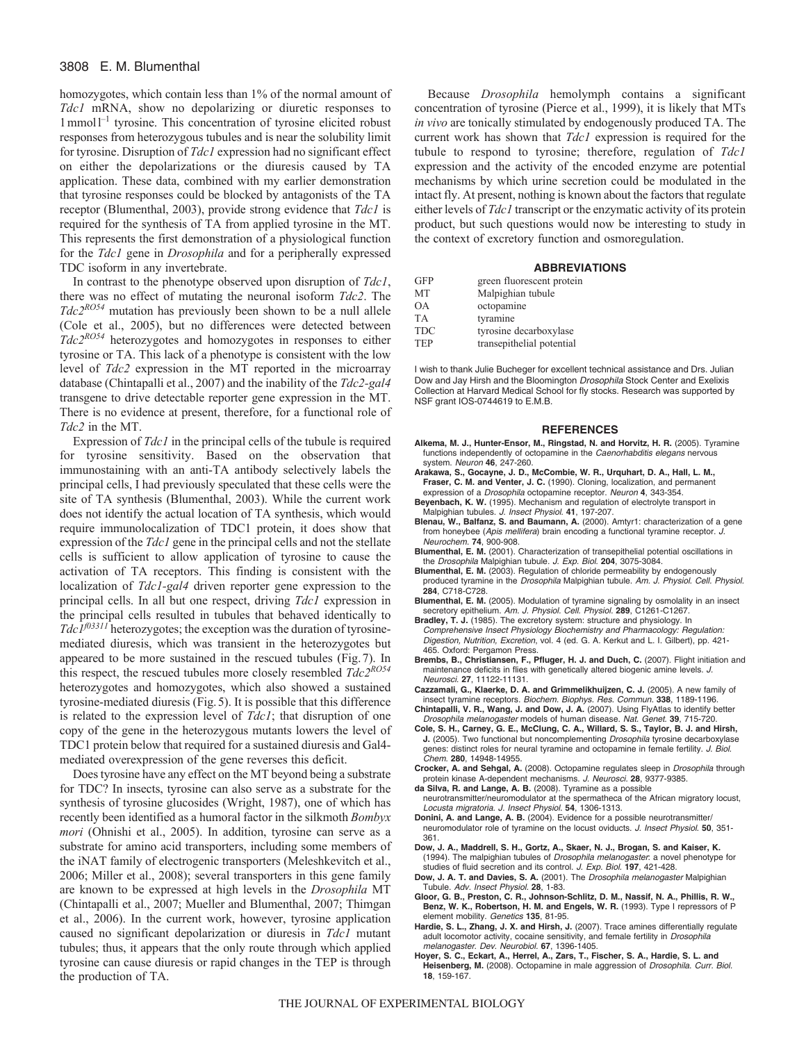### 3808 E. M. Blumenthal

homozygotes, which contain less than 1% of the normal amount of *Tdc1* mRNA, show no depolarizing or diuretic responses to 1mmoll –1 tyrosine. This concentration of tyrosine elicited robust responses from heterozygous tubules and is near the solubility limit for tyrosine. Disruption of *Tdc1* expression had no significant effect on either the depolarizations or the diuresis caused by TA application. These data, combined with my earlier demonstration that tyrosine responses could be blocked by antagonists of the TA receptor (Blumenthal, 2003), provide strong evidence that *Tdc1* is required for the synthesis of TA from applied tyrosine in the MT. This represents the first demonstration of a physiological function for the *Tdc1* gene in *Drosophila* and for a peripherally expressed TDC isoform in any invertebrate.

In contrast to the phenotype observed upon disruption of *Tdc1*, there was no effect of mutating the neuronal isoform *Tdc2*. The *Tdc2RO54* mutation has previously been shown to be a null allele (Cole et al., 2005), but no differences were detected between *Tdc2RO54* heterozygotes and homozygotes in responses to either tyrosine or TA. This lack of a phenotype is consistent with the low level of *Tdc2* expression in the MT reported in the microarray database (Chintapalli et al., 2007) and the inability of the *Tdc2-gal4* transgene to drive detectable reporter gene expression in the MT. There is no evidence at present, therefore, for a functional role of *Tdc2* in the MT.

Expression of *Tdc1* in the principal cells of the tubule is required for tyrosine sensitivity. Based on the observation that immunostaining with an anti-TA antibody selectively labels the principal cells, I had previously speculated that these cells were the site of TA synthesis (Blumenthal, 2003). While the current work does not identify the actual location of TA synthesis, which would require immunolocalization of TDC1 protein, it does show that expression of the *Tdc1* gene in the principal cells and not the stellate cells is sufficient to allow application of tyrosine to cause the activation of TA receptors. This finding is consistent with the localization of *Tdc1-gal4* driven reporter gene expression to the principal cells. In all but one respect, driving *Tdc1* expression in the principal cells resulted in tubules that behaved identically to  $TdcI^{03311}$  heterozygotes; the exception was the duration of tyrosinemediated diuresis, which was transient in the heterozygotes but appeared to be more sustained in the rescued tubules (Fig.7). In this respect, the rescued tubules more closely resembled *Tdc2RO54* heterozygotes and homozygotes, which also showed a sustained tyrosine-mediated diuresis (Fig.5). It is possible that this difference is related to the expression level of *Tdc1*; that disruption of one copy of the gene in the heterozygous mutants lowers the level of TDC1 protein below that required for a sustained diuresis and Gal4 mediated overexpression of the gene reverses this deficit.

Does tyrosine have any effect on the MT beyond being a substrate for TDC? In insects, tyrosine can also serve as a substrate for the synthesis of tyrosine glucosides (Wright, 1987), one of which has recently been identified as a humoral factor in the silkmoth *Bombyx mori* (Ohnishi et al., 2005). In addition, tyrosine can serve as a substrate for amino acid transporters, including some members of the iNAT family of electrogenic transporters (Meleshkevitch et al., 2006; Miller et al., 2008); several transporters in this gene family are known to be expressed at high levels in the *Drosophila* MT (Chintapalli et al., 2007; Mueller and Blumenthal, 2007; Thimgan et al., 2006). In the current work, however, tyrosine application caused no significant depolarization or diuresis in *Tdc1* mutant tubules; thus, it appears that the only route through which applied tyrosine can cause diuresis or rapid changes in the TEP is through the production of TA.

Because *Drosophila* hemolymph contains a significant concentration of tyrosine (Pierce et al., 1999), it is likely that MTs *in vivo* are tonically stimulated by endogenously produced TA. The current work has shown that *Tdc1* expression is required for the tubule to respond to tyrosine; therefore, regulation of *Tdc1* expression and the activity of the encoded enzyme are potential mechanisms by which urine secretion could be modulated in the intact fly. At present, nothing is known about the factors that regulate either levels of *Tdc1* transcript or the enzymatic activity of its protein product, but such questions would now be interesting to study in the context of excretory function and osmoregulation.

### **ABBREVIATIONS**

| <b>GFP</b> | green fluorescent protein |
|------------|---------------------------|
| <b>MT</b>  | Malpighian tubule         |
| <b>OA</b>  | octopamine                |
| <b>TA</b>  | tyramine                  |
| <b>TDC</b> | tyrosine decarboxylase    |
| <b>TEP</b> | transepithelial potential |

I wish to thank Julie Bucheger for excellent technical assistance and Drs. Julian Dow and Jay Hirsh and the Bloomington Drosophila Stock Center and Exelixis Collection at Harvard Medical School for fly stocks. Research was supported by NSF grant IOS-0744619 to E.M.B.

#### **REFERENCES**

- **Alkema, M. J., Hunter-Ensor, M., Ringstad, N. and Horvitz, H. R.** (2005). Tyramine functions independently of octopamine in the Caenorhabditis elegans nervous system. Neuron **46**, 247-260.
- **Arakawa, S., Gocayne, J. D., McCombie, W. R., Urquhart, D. A., Hall, L. M., Fraser, C. M. and Venter, J. C.** (1990). Cloning, localization, and permanent expression of a Drosophila octopamine receptor. Neuron **4**, 343-354.
- **Beyenbach, K. W.** (1995). Mechanism and regulation of electrolyte transport in Malpighian tubules. J. Insect Physiol. **41**, 197-207.
- **Blenau, W., Balfanz, S. and Baumann, A.** (2000). Amtyr1: characterization of a gene from honeybee (Apis mellifera) brain encoding a functional tyramine receptor. J. Neurochem. **74**, 900-908.
- **Blumenthal, E. M.** (2001). Characterization of transepithelial potential oscillations in the Drosophila Malpighian tubule. J. Exp. Biol. **204**, 3075-3084.
- **Blumenthal, E. M.** (2003). Regulation of chloride permeability by endogenously produced tyramine in the Drosophila Malpighian tubule. Am. J. Physiol. Cell. Physiol. **284**, C718-C728.
- **Blumenthal, E. M.** (2005). Modulation of tyramine signaling by osmolality in an insect secretory epithelium. Am. J. Physiol. Cell. Physiol. **289**, C1261-C1267.
- **Bradley, T. J.** (1985). The excretory system: structure and physiology. In Comprehensive Insect Physiology Biochemistry and Pharmacology: Regulation: Digestion, Nutrition, Excretion, vol. 4 (ed. G. A. Kerkut and L. I. Gilbert), pp. 421- 465. Oxford: Pergamon Press.
- **Brembs, B., Christiansen, F., Pfluger, H. J. and Duch, C.** (2007). Flight initiation and maintenance deficits in flies with genetically altered biogenic amine levels. J. Neurosci. **27**, 11122-11131.
- **Cazzamali, G., Klaerke, D. A. and Grimmelikhuijzen, C. J.** (2005). A new family of insect tyramine receptors. Biochem. Biophys. Res. Commun. **338**, 1189-1196. **Chintapalli, V. R., Wang, J. and Dow, J. A.** (2007). Using FlyAtlas to identify better
- Drosophila melanogaster models of human disease. Nat. Genet. **39**, 715-720. **Cole, S. H., Carney, G. E., McClung, C. A., Willard, S. S., Taylor, B. J. and Hirsh,**
- **J.** (2005). Two functional but noncomplementing Drosophila tyrosine decarboxylase genes: distinct roles for neural tyramine and octopamine in female fertility. J. Biol. Chem. **280**, 14948-14955.
- **Crocker, A. and Sehgal, A.** (2008). Octopamine regulates sleep in Drosophila through protein kinase A-dependent mechanisms. J. Neurosci. **28**, 9377-9385.
- **da Silva, R. and Lange, A. B.** (2008). Tyramine as a possible neurotransmitter/neuromodulator at the spermatheca of the African migratory locust, Locusta migratoria. J. Insect Physiol. **54**, 1306-1313.
- **Donini, A. and Lange, A. B.** (2004). Evidence for a possible neurotransmitter/ neuromodulator role of tyramine on the locust oviducts. J. Insect Physiol. **50**, 351- 361.
- **Dow, J. A., Maddrell, S. H., Gortz, A., Skaer, N. J., Brogan, S. and Kaiser, K.** (1994). The malpighian tubules of Drosophila melanogaster: a novel phenotype for studies of fluid secretion and its control. J. Exp. Biol. **197**, 421-428.
- **Dow, J. A. T. and Davies, S. A.** (2001). The Drosophila melanogaster Malpighian Tubule. Adv. Insect Physiol. **28**, 1-83.
- **Gloor, G. B., Preston, C. R., Johnson-Schlitz, D. M., Nassif, N. A., Phillis, R. W., Benz, W. K., Robertson, H. M. and Engels, W. R.** (1993). Type I repressors of P element mobility. Genetics **135**, 81-95.
- Hardie, S. L., Zhang, J. X. and Hirsh, J. (2007). Trace amines differentially regulate adult locomotor activity, cocaine sensitivity, and female fertility in Drosophila melanogaster. Dev. Neurobiol. **67**, 1396-1405.
- **Hoyer, S. C., Eckart, A., Herrel, A., Zars, T., Fischer, S. A., Hardie, S. L. and Heisenberg, M.** (2008). Octopamine in male aggression of *Drosophila. Curr. Biol.* **18**, 159-167.